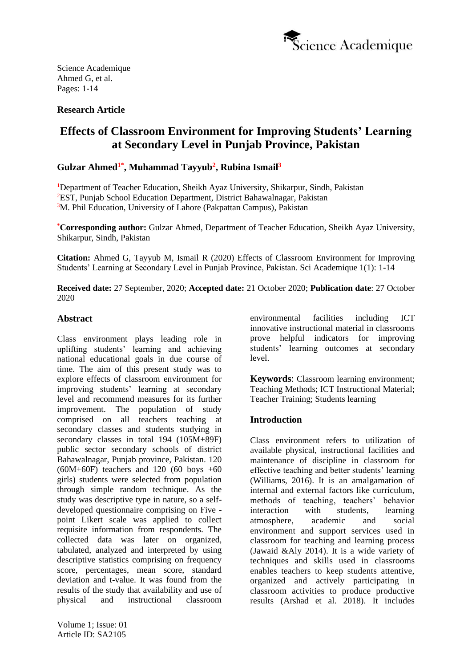

## **Research Article**

# **Effects of Classroom Environment for Improving Students' Learning at Secondary Level in Punjab Province, Pakistan**

# **Gulzar Ahmed1\* , Muhammad Tayyub<sup>2</sup> , Rubina Ismail<sup>3</sup>**

<sup>1</sup>Department of Teacher Education, Sheikh Ayaz University, Shikarpur, Sindh, Pakistan <sup>2</sup>EST, Punjab School Education Department, District Bahawalnagar, Pakistan <sup>3</sup>M. Phil Education, University of Lahore (Pakpattan Campus), Pakistan

**\*Corresponding author:** Gulzar Ahmed, Department of Teacher Education, Sheikh Ayaz University, Shikarpur, Sindh, Pakistan

**Citation:** Ahmed G, Tayyub M, Ismail R (2020) Effects of Classroom Environment for Improving Students' Learning at Secondary Level in Punjab Province, Pakistan. Sci Academique 1(1): 1-14

**Received date:** 27 September, 2020; **Accepted date:** 21 October 2020; **Publication date**: 27 October 2020

## **Abstract**

Class environment plays leading role in uplifting students' learning and achieving national educational goals in due course of time. The aim of this present study was to explore effects of classroom environment for improving students' learning at secondary level and recommend measures for its further improvement. The population of study comprised on all teachers teaching at secondary classes and students studying in secondary classes in total 194 (105M+89F) public sector secondary schools of district Bahawalnagar, Punjab province, Pakistan. 120  $(60M+60F)$  teachers and 120  $(60 \text{ boys } +60$ girls) students were selected from population through simple random technique. As the study was descriptive type in nature, so a selfdeveloped questionnaire comprising on Five point Likert scale was applied to collect requisite information from respondents. The collected data was later on organized, tabulated, analyzed and interpreted by using descriptive statistics comprising on frequency score, percentages, mean score, standard deviation and t-value. It was found from the results of the study that availability and use of physical and instructional classroom environmental facilities including ICT innovative instructional material in classrooms prove helpful indicators for improving students' learning outcomes at secondary level.

**Keywords**: Classroom learning environment; Teaching Methods; ICT Instructional Material; Teacher Training; Students learning

## **Introduction**

Class environment refers to utilization of available physical, instructional facilities and maintenance of discipline in classroom for effective teaching and better students' learning (Williams, 2016). It is an amalgamation of internal and external factors like curriculum, methods of teaching, teachers' behavior interaction with students, learning atmosphere, academic and social environment and support services used in classroom for teaching and learning process (Jawaid &Aly 2014). It is a wide variety of techniques and skills used in classrooms enables teachers to keep students attentive, organized and actively participating in classroom activities to produce productive results [\(Arshad](https://papers.ssrn.com/sol3/cf_dev/AbsByAuth.cfm?per_id=3532443) et al. 2018). It includes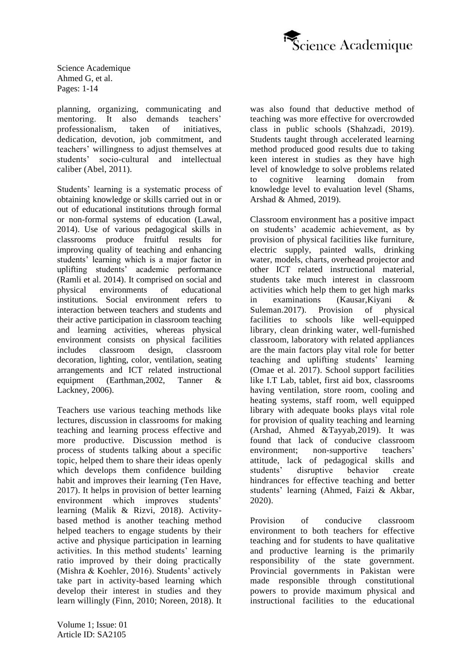

planning, organizing, communicating and mentoring. It also demands teachers' professionalism, taken of initiatives, dedication, devotion, job commitment, and teachers' willingness to adjust themselves at students' socio-cultural and intellectual caliber (Abel, 2011).

Students' learning is a systematic process of obtaining knowledge or skills carried out in or out of educational institutions through formal or non-formal systems of education (Lawal, 2014). Use of various pedagogical skills in classrooms produce fruitful results for improving quality of teaching and enhancing students' learning which is a major factor in uplifting students' academic performance (Ramli et al. 2014). It comprised on social and physical environments of educational institutions. Social environment refers to interaction between teachers and students and their active participation in classroom teaching and learning activities, whereas physical environment consists on physical facilities includes classroom design, classroom decoration, lighting, color, ventilation, seating arrangements and ICT related instructional equipment (Earthman,2002, Tanner & Lackney, 2006).

Teachers use various teaching methods like lectures, discussion in classrooms for making teaching and learning process effective and more productive. Discussion method is process of students talking about a specific topic, helped them to share their ideas openly which develops them confidence building habit and improves their learning (Ten Have, 2017). It helps in provision of better learning environment which improves students' learning (Malik & Rizvi, 2018). Activitybased method is another teaching method helped teachers to engage students by their active and physique participation in learning activities. In this method students' learning ratio improved by their doing practically (Mishra & Koehler, 2016). Students' actively take part in activity-based learning which develop their interest in studies and they learn willingly (Finn, 2010; Noreen, 2018). It was also found that deductive method of teaching was more effective for overcrowded class in public schools (Shahzadi, 2019). Students taught through accelerated learning method produced good results due to taking keen interest in studies as they have high level of knowledge to solve problems related to cognitive learning domain from knowledge level to evaluation level (Shams, Arshad & Ahmed, 2019).

Classroom environment has a positive impact on students' academic achievement, as by provision of physical facilities like furniture, electric supply, painted walls, drinking water, models, charts, overhead projector and other ICT related instructional material, students take much interest in classroom activities which help them to get high marks in examinations (Kausar,Kiyani & Suleman.2017). Provision of physical facilities to schools like well-equipped library, clean drinking water, well-furnished classroom, laboratory with related appliances are the main factors play vital role for better teaching and uplifting students' learning (Omae et al. 2017). School support facilities like I.T Lab, tablet, first aid box, classrooms having ventilation, store room, cooling and heating systems, staff room, well equipped library with adequate books plays vital role for provision of quality teaching and learning (Arshad, Ahmed &Tayyab,2019). It was found that lack of conducive classroom environment; non-supportive teachers' attitude, lack of pedagogical skills and students' disruptive behavior create hindrances for effective teaching and better students' learning (Ahmed, Faizi & Akbar, 2020).

Provision of conducive classroom environment to both teachers for effective teaching and for students to have qualitative and productive learning is the primarily responsibility of the state government. Provincial governments in Pakistan were made responsible through constitutional powers to provide maximum physical and instructional facilities to the educational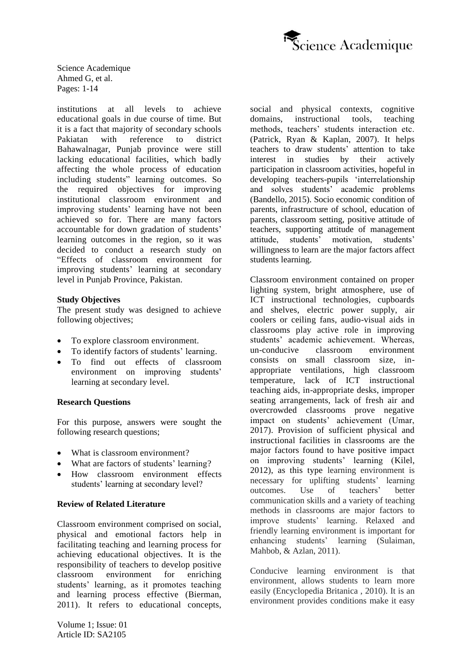

institutions at all levels to achieve educational goals in due course of time. But it is a fact that majority of secondary schools Pakiatan with reference to district Bahawalnagar, Punjab province were still lacking educational facilities, which badly affecting the whole process of education including students" learning outcomes. So the required objectives for improving institutional classroom environment and improving students' learning have not been achieved so for. There are many factors accountable for down gradation of students' learning outcomes in the region, so it was decided to conduct a research study on "Effects of classroom environment for improving students' learning at secondary level in Punjab Province, Pakistan.

#### **Study Objectives**

The present study was designed to achieve following objectives;

- To explore classroom environment.
- To identify factors of students' learning.
- To find out effects of classroom environment on improving students' learning at secondary level.

#### **Research Questions**

For this purpose, answers were sought the following research questions:

- What is classroom environment?
- What are factors of students' learning?
- How classroom environment effects students' learning at secondary level?

#### **Review of Related Literature**

Classroom environment comprised on social, physical and emotional factors help in facilitating teaching and learning process for achieving educational objectives. It is the responsibility of teachers to develop positive classroom environment for enriching students' learning, as it promotes teaching and learning process effective (Bierman, 2011). It refers to educational concepts, social and physical contexts, cognitive domains, instructional tools, teaching methods, teachers' students interaction etc. (Patrick, Ryan & Kaplan, 2007). It helps teachers to draw students' attention to take interest in studies by their actively participation in classroom activities, hopeful in developing teachers-pupils 'interrelationship and solves students' academic problems (Bandello, 2015). Socio economic condition of parents, infrastructure of school, education of parents, classroom setting, positive attitude of teachers, supporting attitude of management attitude, students' motivation, students' willingness to learn are the major factors affect students learning.

Classroom environment contained on proper lighting system, bright atmosphere, use of ICT instructional technologies, cupboards and shelves, electric power supply, air coolers or ceiling fans, audio-visual aids in classrooms play active role in improving students' academic achievement. Whereas, un-conducive classroom environment consists on small classroom size, inappropriate ventilations, high classroom temperature, lack of ICT instructional teaching aids, in-appropriate desks, improper seating arrangements, lack of fresh air and overcrowded classrooms prove negative impact on students' achievement (Umar, 2017). Provision of sufficient physical and instructional facilities in classrooms are the major factors found to have positive impact on improving students' learning (Kilel, 2012), as this type learning environment is necessary for uplifting students' learning outcomes. Use of teachers' better communication skills and a variety of teaching methods in classrooms are major factors to improve students' learning. Relaxed and friendly learning environment is important for enhancing students' learning (Sulaiman, Mahbob, & Azlan, 2011).

Conducive learning environment is that environment, allows students to learn more easily (Encyclopedia Britanica , 2010). It is an environment provides conditions make it easy

Volume 1; Issue: 01 Article ID: SA2105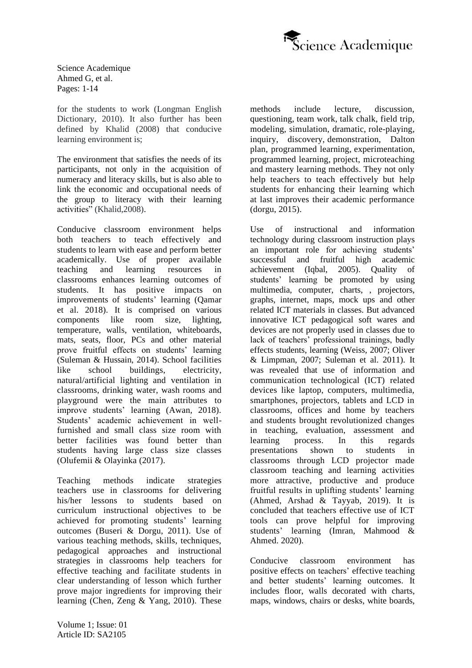

for the students to work (Longman English Dictionary, 2010). It also further has been defined by Khalid (2008) that conducive learning environment is;

The environment that satisfies the needs of its participants, not only in the acquisition of numeracy and literacy skills, but is also able to link the economic and occupational needs of the group to literacy with their learning activities" (Khalid,2008).

Conducive classroom environment helps both teachers to teach effectively and students to learn with ease and perform better academically. Use of proper available teaching and learning resources in classrooms enhances learning outcomes of students. It has positive impacts on improvements of students' learning (Qamar et al. 2018). It is comprised on various components like room size, lighting, temperature, walls, ventilation, whiteboards, mats, seats, floor, PCs and other material prove fruitful effects on students' learning (Suleman & Hussain, 2014). School facilities like school buildings, electricity, natural/artificial lighting and ventilation in classrooms, drinking water, wash rooms and playground were the main attributes to improve students' learning (Awan, 2018). Students' academic achievement in wellfurnished and small class size room with better facilities was found better than students having large class size classes (Olufemii & Olayinka (2017).

Teaching methods indicate strategies teachers use in classrooms for delivering his/her lessons to students based on curriculum instructional objectives to be achieved for promoting students' learning outcomes (Buseri & Dorgu, 2011). Use of various teaching methods, skills, techniques, pedagogical approaches and instructional strategies in classrooms help teachers for effective teaching and facilitate students in clear understanding of lesson which further prove major ingredients for improving their learning (Chen, Zeng & Yang, 2010). These

methods include lecture, discussion, questioning, team work, talk chalk, field trip, modeling, simulation, dramatic, role-playing, inquiry, discovery, demonstration, Dalton plan, programmed learning, experimentation, programmed learning, project, microteaching and mastery learning methods. They not only help teachers to teach effectively but help students for enhancing their learning which at last improves their academic performance (dorgu, 2015).

Use of instructional and information technology during classroom instruction plays an important role for achieving students' successful and fruitful high academic achievement (Iqbal, 2005). Quality of students' learning be promoted by using multimedia, computer, charts, , projectors, graphs, internet, maps, mock ups and other related ICT materials in classes. But advanced innovative ICT pedagogical soft wares and devices are not properly used in classes due to lack of teachers' professional trainings, badly effects students, learning (Weiss, 2007; Oliver & Limpman, 2007; Suleman et al. 2011). It was revealed that use of information and communication technological (ICT) related devices like laptop, computers, multimedia, smartphones, projectors, tablets and LCD in classrooms, offices and home by teachers and students brought revolutionized changes in teaching, evaluation, assessment and learning process. In this regards presentations shown to students in classrooms through LCD projector made classroom teaching and learning activities more attractive, productive and produce fruitful results in uplifting students' learning (Ahmed, Arshad & Tayyab, 2019). It is concluded that teachers effective use of ICT tools can prove helpful for improving students' learning (Imran, Mahmood & Ahmed. 2020).

Conducive classroom environment has positive effects on teachers' effective teaching and better students' learning outcomes. It includes floor, walls decorated with charts, maps, windows, chairs or desks, white boards,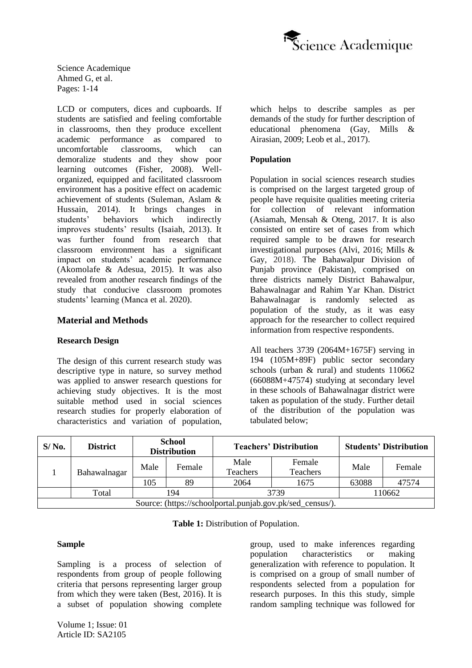

LCD or computers, dices and cupboards. If students are satisfied and feeling comfortable in classrooms, then they produce excellent academic performance as compared to uncomfortable classrooms, which can demoralize students and they show poor learning outcomes (Fisher, 2008). Wellorganized, equipped and facilitated classroom environment has a positive effect on academic achievement of students (Suleman, Aslam & Hussain, 2014). It brings changes in students' behaviors which indirectly improves students' results (Isaiah, 2013). It was further found from research that classroom environment has a significant impact on students' academic performance (Akomolafe & Adesua, 2015). It was also revealed from another research findings of the study that conducive classroom promotes students' learning (Manca et al. 2020).

## **Material and Methods**

#### **Research Design**

The design of this current research study was descriptive type in nature, so survey method was applied to answer research questions for achieving study objectives. It is the most suitable method used in social sciences research studies for properly elaboration of characteristics and variation of population, which helps to describe samples as per demands of the study for further description of educational phenomena (Gay, Mills & Airasian, 2009; Leob et al., 2017).

#### **Population**

Population in social sciences research studies is comprised on the largest targeted group of people have requisite qualities meeting criteria for collection of relevant information (Asiamah, Mensah & Oteng, 2017. It is also consisted on entire set of cases from which required sample to be drawn for research investigational purposes (Alvi, 2016; Mills & Gay, 2018). The Bahawalpur Division of Punjab province (Pakistan), comprised on three districts namely District Bahawalpur, Bahawalnagar and Rahim Yar Khan. District Bahawalnagar is randomly selected as population of the study, as it was easy approach for the researcher to collect required information from respective respondents.

All teachers 3739 (2064M+1675F) serving in 194 (105M+89F) public sector secondary schools (urban & rural) and students 110662 (66088M+47574) studying at secondary level in these schools of Bahawalnagar district were taken as population of the study. Further detail of the distribution of the population was tabulated below;

| $S/N0$ . | <b>District</b>                                           | <b>School</b><br><b>Distribution</b> |        |                  | <b>Teachers' Distribution</b> | <b>Students' Distribution</b> |        |  |  |  |
|----------|-----------------------------------------------------------|--------------------------------------|--------|------------------|-------------------------------|-------------------------------|--------|--|--|--|
|          | Bahawalnagar                                              |                                      | Female | Male<br>Teachers | Female<br><b>Teachers</b>     | Male                          | Female |  |  |  |
|          |                                                           | 105                                  | 89     | 2064             | 1675                          | 63088                         | 47574  |  |  |  |
|          | Total                                                     |                                      | 194    |                  | 3739                          | 110662                        |        |  |  |  |
|          | Source: (https://schoolportal.punjab.gov.pk/sed_census/). |                                      |        |                  |                               |                               |        |  |  |  |

**Table 1:** Distribution of Population.

## **Sample**

Sampling is a process of selection of respondents from group of people following criteria that persons representing larger group from which they were taken (Best, 2016). It is a subset of population showing complete group, used to make inferences regarding population characteristics or making generalization with reference to population. It is comprised on a group of small number of respondents selected from a population for research purposes. In this this study, simple random sampling technique was followed for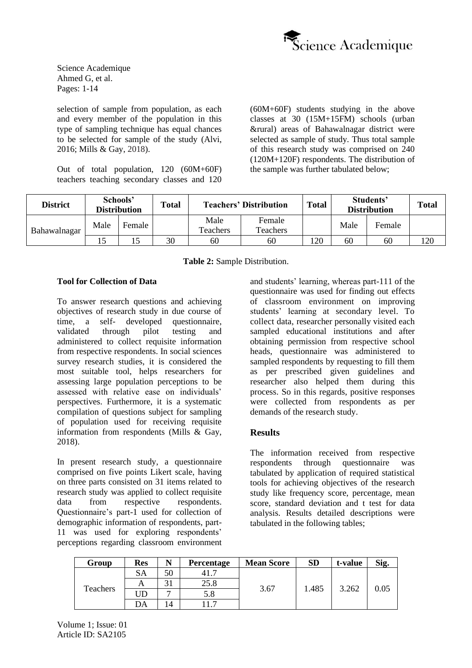

selection of sample from population, as each and every member of the population in this type of sampling technique has equal chances to be selected for sample of the study (Alvi, 2016; Mills & Gay, 2018).

Out of total population, 120 (60M+60F) teachers teaching secondary classes and 120 (60M+60F) students studying in the above classes at 30 (15M+15FM) schools (urban &rural) areas of Bahawalnagar district were selected as sample of study. Thus total sample of this research study was comprised on 240 (120M+120F) respondents. The distribution of the sample was further tabulated below;

| <b>District</b> |      | Schools'<br><b>Distribution</b> | <b>Total</b> |                  | <b>Teachers' Distribution</b> | <b>Total</b> |      | Students'<br><b>Distribution</b> | <b>Total</b> |
|-----------------|------|---------------------------------|--------------|------------------|-------------------------------|--------------|------|----------------------------------|--------------|
| Bahawalnagar    | Male | Female                          |              | Male<br>Teachers | Female<br>Teachers            |              | Male | Female                           |              |
|                 |      |                                 | 30           | 60               | 60                            | 120          | 60   | 60                               | 20           |

**Table 2:** Sample Distribution.

## **Tool for Collection of Data**

To answer research questions and achieving objectives of research study in due course of time, a self- developed questionnaire, validated through pilot testing and administered to collect requisite information from respective respondents. In social sciences survey research studies, it is considered the most suitable tool, helps researchers for assessing large population perceptions to be assessed with relative ease on individuals' perspectives. Furthermore, it is a systematic compilation of questions subject for sampling of population used for receiving requisite information from respondents (Mills & Gay, 2018).

In present research study, a questionnaire comprised on five points Likert scale, having on three parts consisted on 31 items related to research study was applied to collect requisite data from respective respondents. Questionnaire's part-1 used for collection of demographic information of respondents, part-11 was used for exploring respondents' perceptions regarding classroom environment and students' learning, whereas part-111 of the questionnaire was used for finding out effects of classroom environment on improving students' learning at secondary level. To collect data, researcher personally visited each sampled educational institutions and after obtaining permission from respective school heads, questionnaire was administered to sampled respondents by requesting to fill them as per prescribed given guidelines and researcher also helped them during this process. So in this regards, positive responses were collected from respondents as per demands of the research study.

#### **Results**

The information received from respective respondents through questionnaire was tabulated by application of required statistical tools for achieving objectives of the research study like frequency score, percentage, mean score, standard deviation and t test for data analysis. Results detailed descriptions were tabulated in the following tables;

| Group    | <b>Res</b> | N              | <b>Percentage</b> | <b>Mean Score</b> | <b>SD</b> | t-value | Sig. |
|----------|------------|----------------|-------------------|-------------------|-----------|---------|------|
|          | SA         | 50             |                   |                   |           |         |      |
|          | A          |                | 25.8              |                   | 1.485     | 3.262   | 0.05 |
| Teachers | JD         |                | 5.8               | 3.67              |           |         |      |
|          | DA         | $\overline{4}$ |                   |                   |           |         |      |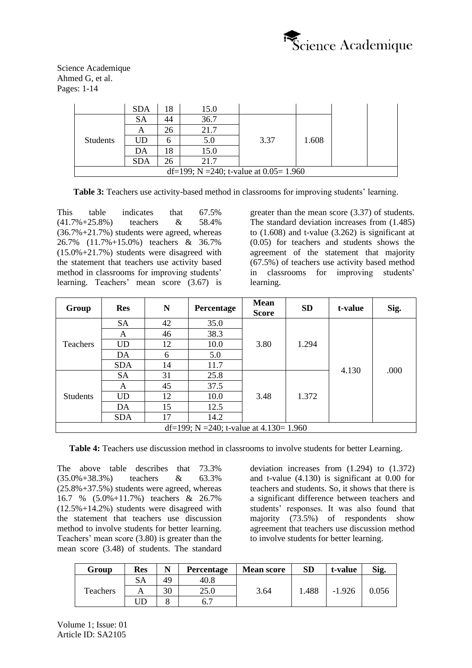

|                                           | <b>SDA</b> | 18 | 15.0 |      |       |  |  |  |  |  |
|-------------------------------------------|------------|----|------|------|-------|--|--|--|--|--|
|                                           | SA         | 44 | 36.7 |      |       |  |  |  |  |  |
|                                           | A          | 26 | 21.7 |      |       |  |  |  |  |  |
| <b>Students</b>                           | UD         |    | 5.0  | 3.37 | 1.608 |  |  |  |  |  |
|                                           | DΑ         | !8 | 15.0 |      |       |  |  |  |  |  |
|                                           | <b>SDA</b> | 26 | 21.7 |      |       |  |  |  |  |  |
| df=199; N =240; t-value at $0.05 = 1.960$ |            |    |      |      |       |  |  |  |  |  |

**Table 3:** Teachers use activity-based method in classrooms for improving students' learning.

This table indicates that 67.5% (41.7%+25.8%) teachers & 58.4% (36.7%+21.7%) students were agreed, whereas 26.7% (11.7%+15.0%) teachers & 36.7% (15.0%+21.7%) students were disagreed with the statement that teachers use activity based method in classrooms for improving students' learning. Teachers' mean score (3.67) is greater than the mean score (3.37) of students. The standard deviation increases from (1.485) to  $(1.608)$  and t-value  $(3.262)$  is significant at (0.05) for teachers and students shows the agreement of the statement that majority (67.5%) of teachers use activity based method in classrooms for improving students' learning.

| Group           | <b>Res</b>                               | N  | Percentage | <b>Mean</b><br><b>Score</b> | <b>SD</b> | t-value | Sig. |  |  |  |  |
|-----------------|------------------------------------------|----|------------|-----------------------------|-----------|---------|------|--|--|--|--|
|                 | <b>SA</b>                                | 42 | 35.0       |                             |           |         |      |  |  |  |  |
| <b>Teachers</b> | A                                        | 46 | 38.3       |                             |           |         |      |  |  |  |  |
|                 | <b>UD</b>                                | 12 | 10.0       | 3.80                        | 1.294     |         |      |  |  |  |  |
|                 | DA                                       | 6  | 5.0        |                             |           | 4.130   | .000 |  |  |  |  |
|                 | <b>SDA</b>                               | 14 | 11.7       |                             |           |         |      |  |  |  |  |
|                 | <b>SA</b>                                | 31 | 25.8       |                             |           |         |      |  |  |  |  |
|                 | A                                        | 45 | 37.5       |                             |           |         |      |  |  |  |  |
| <b>Students</b> | <b>UD</b>                                | 12 | 10.0       | 3.48                        | 1.372     |         |      |  |  |  |  |
|                 | DA                                       | 15 | 12.5       |                             |           |         |      |  |  |  |  |
|                 | <b>SDA</b>                               | 17 | 14.2       |                             |           |         |      |  |  |  |  |
|                 | df=199; N =240; t-value at $4.130=1.960$ |    |            |                             |           |         |      |  |  |  |  |

**Table 4:** Teachers use discussion method in classrooms to involve students for better Learning.

The above table describes that 73.3% (35.0%+38.3%) teachers & 63.3% (25.8%+37.5%) students were agreed, whereas 16.7 % (5.0%+11.7%) teachers & 26.7% (12.5%+14.2%) students were disagreed with the statement that teachers use discussion method to involve students for better learning. Teachers' mean score (3.80) is greater than the mean score (3.48) of students. The standard deviation increases from (1.294) to (1.372) and t-value (4.130) is significant at 0.00 for teachers and students. So, it shows that there is a significant difference between teachers and students' responses. It was also found that majority (73.5%) of respondents show agreement that teachers use discussion method to involve students for better learning.

| Group           | Res | N  | Percentage | <b>Mean score</b> | <b>SD</b> | t-value  | Sig.  |
|-----------------|-----|----|------------|-------------------|-----------|----------|-------|
|                 | SА  | 49 | 40.8       |                   | .488      | $-1.926$ | 1.056 |
| <b>Teachers</b> |     | 30 | 25.0       | 3.64              |           |          |       |
|                 | JD  |    | b. /       |                   |           |          |       |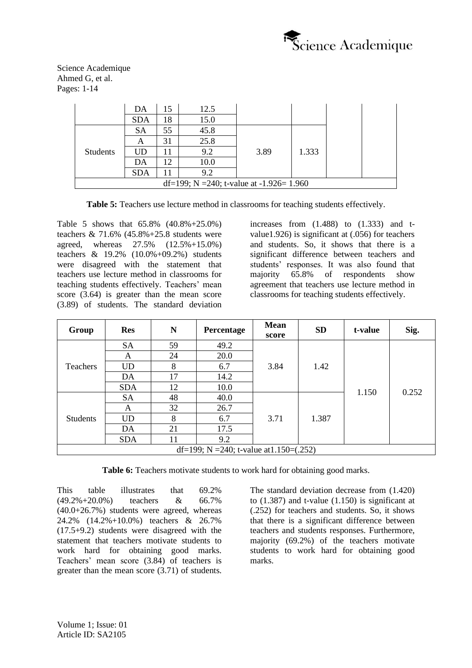

|                                           | DA         | 15 | 12.5 |      |       |  |  |  |  |  |
|-------------------------------------------|------------|----|------|------|-------|--|--|--|--|--|
|                                           | <b>SDA</b> | 18 | 15.0 |      |       |  |  |  |  |  |
| <b>Students</b>                           | SА         | 55 | 45.8 |      |       |  |  |  |  |  |
|                                           | А          | 31 | 25.8 | 3.89 |       |  |  |  |  |  |
|                                           | UD         |    | 9.2  |      | 1.333 |  |  |  |  |  |
|                                           | DA         | 12 | 10.0 |      |       |  |  |  |  |  |
|                                           | <b>SDA</b> |    | 9.2  |      |       |  |  |  |  |  |
| df=199; N =240; t-value at $-1.926=1.960$ |            |    |      |      |       |  |  |  |  |  |

**Table 5:** Teachers use lecture method in classrooms for teaching students effectively.

Table 5 shows that 65.8% (40.8%+25.0%) teachers  $& 71.6\% (45.8\% + 25.8 \text{ students were}$ agreed, whereas 27.5% (12.5%+15.0%) teachers & 19.2% (10.0%+09.2%) students were disagreed with the statement that teachers use lecture method in classrooms for teaching students effectively. Teachers' mean score (3.64) is greater than the mean score (3.89) of students. The standard deviation

increases from  $(1.488)$  to  $(1.333)$  and tvalue1.926) is significant at (.056) for teachers and students. So, it shows that there is a significant difference between teachers and students' responses. It was also found that majority 65.8% of respondents show agreement that teachers use lecture method in classrooms for teaching students effectively.

| Group           | <b>Res</b>                                | N  | Percentage | <b>Mean</b><br>score | <b>SD</b> | t-value | Sig.  |  |  |  |  |  |
|-----------------|-------------------------------------------|----|------------|----------------------|-----------|---------|-------|--|--|--|--|--|
|                 | <b>SA</b>                                 | 59 | 49.2       |                      |           |         |       |  |  |  |  |  |
| Teachers        | A                                         | 24 | 20.0       |                      |           |         |       |  |  |  |  |  |
|                 | <b>UD</b>                                 | 8  | 6.7        | 3.84                 | 1.42      | 1.150   | 0.252 |  |  |  |  |  |
|                 | DA                                        | 17 | 14.2       |                      |           |         |       |  |  |  |  |  |
|                 | <b>SDA</b>                                | 12 | 10.0       |                      |           |         |       |  |  |  |  |  |
|                 | <b>SA</b>                                 | 48 | 40.0       |                      |           |         |       |  |  |  |  |  |
|                 | A                                         | 32 | 26.7       |                      |           |         |       |  |  |  |  |  |
| <b>Students</b> | <b>UD</b>                                 | 8  | 6.7        | 3.71                 | 1.387     |         |       |  |  |  |  |  |
|                 | DA                                        | 21 | 17.5       |                      |           |         |       |  |  |  |  |  |
|                 | <b>SDA</b>                                | 11 | 9.2        |                      |           |         |       |  |  |  |  |  |
|                 | df=199; N =240; t-value at $1.150=(.252)$ |    |            |                      |           |         |       |  |  |  |  |  |

**Table 6:** Teachers motivate students to work hard for obtaining good marks.

This table illustrates that 69.2% (49.2%+20.0%) teachers & 66.7%  $(40.0+26.7%)$  students were agreed, whereas 24.2% (14.2%+10.0%) teachers & 26.7% (17.5+9.2) students were disagreed with the statement that teachers motivate students to work hard for obtaining good marks. Teachers' mean score (3.84) of teachers is greater than the mean score (3.71) of students.

The standard deviation decrease from (1.420) to  $(1.387)$  and t-value  $(1.150)$  is significant at (.252) for teachers and students. So, it shows that there is a significant difference between teachers and students responses. Furthermore, majority (69.2%) of the teachers motivate students to work hard for obtaining good marks.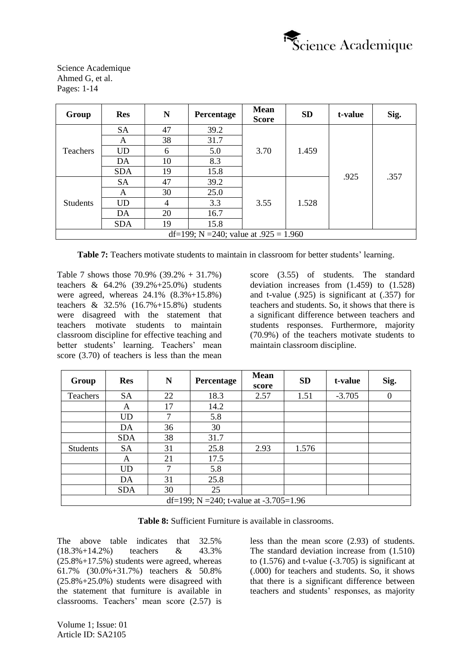

| Group           | <b>Res</b>                              | N              | Percentage | <b>Mean</b><br><b>Score</b> | <b>SD</b> | t-value | Sig. |  |  |  |  |
|-----------------|-----------------------------------------|----------------|------------|-----------------------------|-----------|---------|------|--|--|--|--|
|                 | <b>SA</b>                               | 47             | 39.2       |                             |           |         |      |  |  |  |  |
| Teachers        | A                                       | 38             | 31.7       |                             |           |         |      |  |  |  |  |
|                 | <b>UD</b>                               | 6              | 5.0        | 3.70                        | 1.459     |         |      |  |  |  |  |
|                 | DA                                      | 10             | 8.3        |                             |           |         | .357 |  |  |  |  |
|                 | <b>SDA</b>                              | 19             | 15.8       |                             |           | .925    |      |  |  |  |  |
|                 | <b>SA</b>                               | 47             | 39.2       |                             |           |         |      |  |  |  |  |
|                 | A                                       | 30             | 25.0       |                             |           |         |      |  |  |  |  |
| <b>Students</b> | <b>UD</b>                               | $\overline{4}$ | 3.3        | 3.55                        | 1.528     |         |      |  |  |  |  |
|                 | DA                                      | 20             | 16.7       |                             |           |         |      |  |  |  |  |
|                 | <b>SDA</b>                              | 19             | 15.8       |                             |           |         |      |  |  |  |  |
|                 | df=199; N =240; value at $.925 = 1.960$ |                |            |                             |           |         |      |  |  |  |  |

**Table 7:** Teachers motivate students to maintain in classroom for better students' learning.

Table 7 shows those 70.9% (39.2% + 31.7%) teachers & 64.2% (39.2%+25.0%) students were agreed, whereas 24.1% (8.3%+15.8%) teachers & 32.5% (16.7%+15.8%) students were disagreed with the statement that teachers motivate students to maintain classroom discipline for effective teaching and better students' learning. Teachers' mean score (3.70) of teachers is less than the mean

score (3.55) of students. The standard deviation increases from (1.459) to (1.528) and t-value (.925) is significant at (.357) for teachers and students. So, it shows that there is a significant difference between teachers and students responses. Furthermore, majority (70.9%) of the teachers motivate students to maintain classroom discipline.

| Group           | <b>Res</b> | N  | Percentage                             | <b>Mean</b><br>score | <b>SD</b> | t-value  | Sig.         |
|-----------------|------------|----|----------------------------------------|----------------------|-----------|----------|--------------|
| Teachers        | <b>SA</b>  | 22 | 18.3                                   | 2.57                 | 1.51      | $-3.705$ | $\mathbf{0}$ |
|                 | A          | 17 | 14.2                                   |                      |           |          |              |
|                 | <b>UD</b>  | 7  | 5.8                                    |                      |           |          |              |
|                 | DA         | 36 | 30                                     |                      |           |          |              |
|                 | <b>SDA</b> | 38 | 31.7                                   |                      |           |          |              |
| <b>Students</b> | <b>SA</b>  | 31 | 25.8                                   | 2.93                 | 1.576     |          |              |
|                 | A          | 21 | 17.5                                   |                      |           |          |              |
|                 | <b>UD</b>  | 7  | 5.8                                    |                      |           |          |              |
|                 | DA         | 31 | 25.8                                   |                      |           |          |              |
|                 | <b>SDA</b> | 30 | 25                                     |                      |           |          |              |
|                 |            |    | df=199; N =240; t-value at -3.705=1.96 |                      |           |          |              |

**Table 8:** Sufficient Furniture is available in classrooms.

The above table indicates that 32.5% (18.3%+14.2%) teachers & 43.3%  $(25.8\% + 17.5\%)$  students were agreed, whereas 61.7% (30.0%+31.7%) teachers & 50.8% (25.8%+25.0%) students were disagreed with the statement that furniture is available in classrooms. Teachers' mean score (2.57) is less than the mean score (2.93) of students. The standard deviation increase from (1.510) to  $(1.576)$  and t-value  $(-3.705)$  is significant at (.000) for teachers and students. So, it shows that there is a significant difference between teachers and students' responses, as majority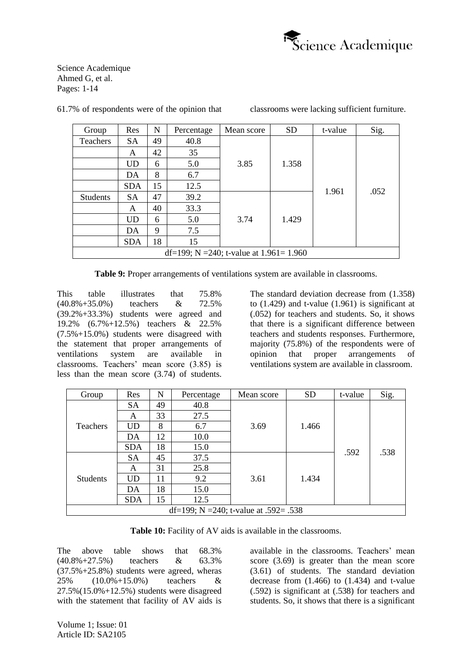

| Group           | Res                                        | N  | Percentage | Mean score | <b>SD</b> | t-value | Sig. |  |  |  |  |  |
|-----------------|--------------------------------------------|----|------------|------------|-----------|---------|------|--|--|--|--|--|
| <b>Teachers</b> | <b>SA</b>                                  | 49 | 40.8       |            |           |         |      |  |  |  |  |  |
|                 | A                                          | 42 | 35         |            |           |         |      |  |  |  |  |  |
|                 | <b>UD</b>                                  | 6  | 5.0        | 3.85       | 1.358     |         |      |  |  |  |  |  |
|                 | DA                                         | 8  | 6.7        |            |           |         |      |  |  |  |  |  |
|                 | <b>SDA</b>                                 | 15 | 12.5       |            |           | 1.961   | .052 |  |  |  |  |  |
| <b>Students</b> | <b>SA</b>                                  | 47 | 39.2       |            |           |         |      |  |  |  |  |  |
|                 | A                                          | 40 | 33.3       |            |           |         |      |  |  |  |  |  |
|                 | UD                                         | 6  | 5.0        | 3.74       | 1.429     |         |      |  |  |  |  |  |
|                 | DA                                         | 9  | 7.5        |            |           |         |      |  |  |  |  |  |
|                 | <b>SDA</b>                                 | 18 | 15         |            |           |         |      |  |  |  |  |  |
|                 | df=199; N =240; t-value at $1.961 = 1.960$ |    |            |            |           |         |      |  |  |  |  |  |

61.7% of respondents were of the opinion that classrooms were lacking sufficient furniture.

**Table 9:** Proper arrangements of ventilations system are available in classrooms.

This table illustrates that 75.8% (40.8%+35.0%) teachers & 72.5% (39.2%+33.3%) students were agreed and 19.2% (6.7%+12.5%) teachers & 22.5% (7.5%+15.0%) students were disagreed with the statement that proper arrangements of ventilations system are available in classrooms. Teachers' mean score (3.85) is less than the mean score (3.74) of students.

The standard deviation decrease from (1.358) to  $(1.429)$  and t-value  $(1.961)$  is significant at (.052) for teachers and students. So, it shows that there is a significant difference between teachers and students responses. Furthermore, majority (75.8%) of the respondents were of opinion that proper arrangements of ventilations system are available in classroom.

| Group           | Res                                   | N  | Percentage | Mean score | <b>SD</b> | t-value | Sig. |  |  |  |  |  |
|-----------------|---------------------------------------|----|------------|------------|-----------|---------|------|--|--|--|--|--|
| <b>Teachers</b> | <b>SA</b>                             | 49 | 40.8       |            |           |         |      |  |  |  |  |  |
|                 | A                                     | 33 | 27.5       |            |           |         |      |  |  |  |  |  |
|                 | UD                                    | 8  | 6.7        | 3.69       | 1.466     |         |      |  |  |  |  |  |
|                 | DA                                    | 12 | 10.0       |            |           |         |      |  |  |  |  |  |
|                 | <b>SDA</b>                            | 18 | 15.0       |            |           | .592    | .538 |  |  |  |  |  |
|                 | <b>SA</b>                             | 45 | 37.5       |            |           |         |      |  |  |  |  |  |
|                 | A                                     | 31 | 25.8       |            |           |         |      |  |  |  |  |  |
| <b>Students</b> | UD                                    | 11 | 9.2        | 3.61       | 1.434     |         |      |  |  |  |  |  |
|                 | DA                                    | 18 | 15.0       |            |           |         |      |  |  |  |  |  |
|                 | <b>SDA</b>                            | 15 | 12.5       |            |           |         |      |  |  |  |  |  |
|                 | df=199; N =240; t-value at .592= .538 |    |            |            |           |         |      |  |  |  |  |  |

**Table 10:** Facility of AV aids is available in the classrooms.

The above table shows that 68.3% (40.8%+27.5%) teachers & 63.3% (37.5%+25.8%) students were agreed, wheras 25% (10.0%+15.0%) teachers & 27.5%(15.0%+12.5%) students were disagreed with the statement that facility of AV aids is

available in the classrooms. Teachers' mean score (3.69) is greater than the mean score (3.61) of students. The standard deviation decrease from (1.466) to (1.434) and t-value (.592) is significant at (.538) for teachers and students. So, it shows that there is a significant

Volume 1; Issue: 01 Article ID: SA2105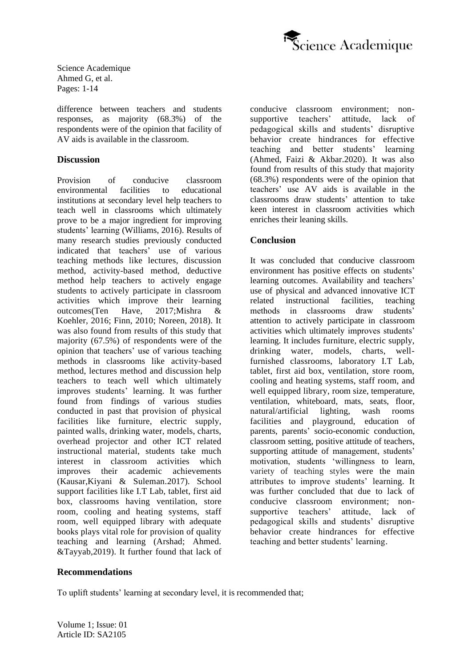

difference between teachers and students responses, as majority (68.3%) of the respondents were of the opinion that facility of AV aids is available in the classroom.

#### **Discussion**

Provision of conducive classroom environmental facilities to educational institutions at secondary level help teachers to teach well in classrooms which ultimately prove to be a major ingredient for improving students' learning (Williams, 2016). Results of many research studies previously conducted indicated that teachers' use of various teaching methods like lectures, discussion method, activity-based method, deductive method help teachers to actively engage students to actively participate in classroom activities which improve their learning outcomes(Ten Have, 2017;Mishra & Koehler, 2016; Finn, 2010; Noreen, 2018). It was also found from results of this study that majority (67.5%) of respondents were of the opinion that teachers' use of various teaching methods in classrooms like activity-based method, lectures method and discussion help teachers to teach well which ultimately improves students' learning. It was further found from findings of various studies conducted in past that provision of physical facilities like furniture, electric supply, painted walls, drinking water, models, charts, overhead projector and other ICT related instructional material, students take much interest in classroom activities which improves their academic achievements (Kausar,Kiyani & Suleman.2017). School support facilities like I.T Lab, tablet, first aid box, classrooms having ventilation, store room, cooling and heating systems, staff room, well equipped library with adequate books plays vital role for provision of quality teaching and learning (Arshad; Ahmed. &Tayyab,2019). It further found that lack of conducive classroom environment; non-<br>supportive teachers' attitude. lack of supportive teachers' attitude, pedagogical skills and students' disruptive behavior create hindrances for effective teaching and better students' learning (Ahmed, Faizi & Akbar.2020). It was also found from results of this study that majority (68.3%) respondents were of the opinion that teachers' use AV aids is available in the classrooms draw students' attention to take keen interest in classroom activities which enriches their leaning skills.

## **Conclusion**

It was concluded that conducive classroom environment has positive effects on students' learning outcomes. Availability and teachers' use of physical and advanced innovative ICT related instructional facilities, teaching methods in classrooms draw students' attention to actively participate in classroom activities which ultimately improves students' learning. It includes furniture, electric supply, drinking water, models, charts, wellfurnished classrooms, laboratory I.T Lab, tablet, first aid box, ventilation, store room, cooling and heating systems, staff room, and well equipped library, room size, temperature, ventilation, whiteboard, mats, seats, floor, natural/artificial lighting, wash rooms facilities and playground, education of parents, parents' socio-economic conduction, classroom setting, positive attitude of teachers, supporting attitude of management, students' motivation, students 'willingness to learn, variety of teaching styles were the main attributes to improve students' learning. It was further concluded that due to lack of conducive classroom environment; nonsupportive teachers' attitude, lack of pedagogical skills and students' disruptive behavior create hindrances for effective teaching and better students' learning.

#### **Recommendations**

To uplift students' learning at secondary level, it is recommended that;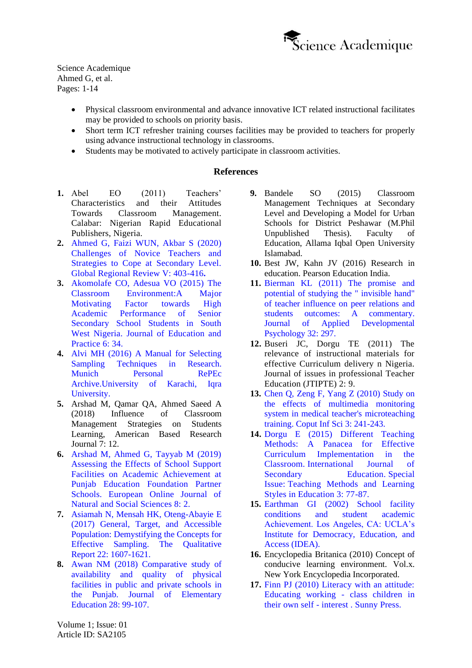

- Physical classroom environmental and advance innovative ICT related instructional facilitates may be provided to schools on priority basis.
- Short term ICT refresher training courses facilities may be provided to teachers for properly using advance instructional technology in classrooms.
- Students may be motivated to actively participate in classroom activities.

## **References**

- **1.** Abel EO (2011) Teachers' Characteristics and their Attitudes Towards Classroom Management. Calabar: Nigerian Rapid Educational Publishers, Nigeria.
- **2.** [Ahmed G, Faizi WUN, Akbar S \(2020\)](https://www.grrjournal.com/jadmin/Auther/31rvIolA2LALJouq9hkR/33vZVd8gMo.pdf)  [Challenges of Novice Teachers and](https://www.grrjournal.com/jadmin/Auther/31rvIolA2LALJouq9hkR/33vZVd8gMo.pdf)  [Strategies to Cope at Secondary Level.](https://www.grrjournal.com/jadmin/Auther/31rvIolA2LALJouq9hkR/33vZVd8gMo.pdf)  [Global Regional Review V: 403-416](https://www.grrjournal.com/jadmin/Auther/31rvIolA2LALJouq9hkR/33vZVd8gMo.pdf)**.**
- **3.** Akomolafe [CO, Adesua VO \(2015\) The](https://files.eric.ed.gov/fulltext/EJ1086098.pdf)  [Classroom Environment:A Major](https://files.eric.ed.gov/fulltext/EJ1086098.pdf)  [Motivating Factor towards High](https://files.eric.ed.gov/fulltext/EJ1086098.pdf)  [Academic Performance of Senior](https://files.eric.ed.gov/fulltext/EJ1086098.pdf)  [Secondary School Students in South](https://files.eric.ed.gov/fulltext/EJ1086098.pdf)  [West Nigeria. Journal of Education and](https://files.eric.ed.gov/fulltext/EJ1086098.pdf)  [Practice 6: 34.](https://files.eric.ed.gov/fulltext/EJ1086098.pdf)
- **4.** [Alvi MH \(2016\) A Manual for Selecting](https://mpra.ub.uni-muenchen.de/70218/1/)  [Sampling Techniques in Research.](https://mpra.ub.uni-muenchen.de/70218/1/)  [Munich Personal RePEc](https://mpra.ub.uni-muenchen.de/70218/1/)  [Archive.University of Karachi, Iqra](https://mpra.ub.uni-muenchen.de/70218/1/)  [University.](https://mpra.ub.uni-muenchen.de/70218/1/)
- **5.** [Arshad](https://papers.ssrn.com/sol3/cf_dev/AbsByAuth.cfm?per_id=3532443) [M,](https://papers.ssrn.com/sol3/cf_dev/AbsByAuth.cfm?per_id=3532443) [Qamar](https://papers.ssrn.com/sol3/cf_dev/AbsByAuth.cfm?per_id=4127912) QA, Ahmed Saeed A (2018) Influence of Classroom Management Strategies on Students Learning, American Based Research Journal 7: 12.
- **6.** [Arshad M, Ahmed G, Tayyab M \(2019\)](http://european-science.com/eojnss_proc/article/view/5797)  [Assessing the Effects of School Support](http://european-science.com/eojnss_proc/article/view/5797)  [Facilities on Academic Achievement at](http://european-science.com/eojnss_proc/article/view/5797)  [Punjab Education Foundation Partner](http://european-science.com/eojnss_proc/article/view/5797)  [Schools. European Online Journal of](http://european-science.com/eojnss_proc/article/view/5797)  [Natural and Social Sciences 8: 2.](http://european-science.com/eojnss_proc/article/view/5797)
- **7.** [Asiamah N, Mensah HK, Oteng-Abayie E](https://nsuworks.nova.edu/cgi/viewcontent.cgi?article=2674&context=tqr)  [\(2017\) General, Target, and Accessible](https://nsuworks.nova.edu/cgi/viewcontent.cgi?article=2674&context=tqr)  [Population: Demystifying the Concepts for](https://nsuworks.nova.edu/cgi/viewcontent.cgi?article=2674&context=tqr)  [Effective Sampling. The Qualitative](https://nsuworks.nova.edu/cgi/viewcontent.cgi?article=2674&context=tqr)  [Report 22: 1607-1621.](https://nsuworks.nova.edu/cgi/viewcontent.cgi?article=2674&context=tqr)
- **8.** [Awan NM \(2018\) Comparative study of](http://pu.edu.pk/images/journal/JEE/PDF/9_v28_1_18.pdf)  [availability and quality of physical](http://pu.edu.pk/images/journal/JEE/PDF/9_v28_1_18.pdf)  [facilities in public and private schools in](http://pu.edu.pk/images/journal/JEE/PDF/9_v28_1_18.pdf)  [the Punjab. Journal of Elementary](http://pu.edu.pk/images/journal/JEE/PDF/9_v28_1_18.pdf)  [Education 28: 99-107.](http://pu.edu.pk/images/journal/JEE/PDF/9_v28_1_18.pdf)
- **9.** Bandele SO (2015) Classroom Management Techniques at Secondary Level and Developing a Model for Urban Schools for District Peshawar (M.Phil Unpublished Thesis). Faculty of Education, Allama Iqbal Open University Islamabad.
- **10.** Best JW, Kahn JV (2016) Research in education. Pearson Education India.
- **11.** [Bierman KL \(2011\) The promise and](https://psycnet.apa.org/record/2011-20185-007)  [potential of studying the " invisible hand"](https://psycnet.apa.org/record/2011-20185-007)  [of teacher influence on peer relations and](https://psycnet.apa.org/record/2011-20185-007)  [students outcomes: A commentary.](https://psycnet.apa.org/record/2011-20185-007)  [Journal of Applied Developmental](https://psycnet.apa.org/record/2011-20185-007)  [Psychology 32: 297.](https://psycnet.apa.org/record/2011-20185-007)
- **12.** Buseri JC, Dorgu TE (2011) The relevance of instructional materials for effective Curriculum delivery n Nigeria. Journal of issues in professional Teacher Education (JTIPTE) 2: 9.
- **13.** [Chen Q, Zeng F, Yang Z \(2010\) Study on](http://www.ccsenet.org/journal/index.php/cis/article/view/6008)  [the effects of multimedia monitoring](http://www.ccsenet.org/journal/index.php/cis/article/view/6008)  [system in medical teacher's microteaching](http://www.ccsenet.org/journal/index.php/cis/article/view/6008)  [training. Coput Inf Sci 3: 241-243.](http://www.ccsenet.org/journal/index.php/cis/article/view/6008)
- **14.** [Dorgu E \(2015\) Different Teaching](http://article.sciencepublishinggroup.com/html/10.11648.j.ijsedu.s.2015030601.13.html)  [Methods: A Panacea for Effective](http://article.sciencepublishinggroup.com/html/10.11648.j.ijsedu.s.2015030601.13.html)  [Curriculum Implementation in the](http://article.sciencepublishinggroup.com/html/10.11648.j.ijsedu.s.2015030601.13.html)  Classroom. [International Journal of](http://article.sciencepublishinggroup.com/html/10.11648.j.ijsedu.s.2015030601.13.html)  Secondary **Education**, Special Issue: [Teaching Methods and Learning](http://article.sciencepublishinggroup.com/html/10.11648.j.ijsedu.s.2015030601.13.html)  [Styles in Education 3: 77-87.](http://article.sciencepublishinggroup.com/html/10.11648.j.ijsedu.s.2015030601.13.html)
- **15.** [Earthman GI \(2002\) School facility](https://escholarship.org/uc/item/5sw56439)  [conditions and student academic](https://escholarship.org/uc/item/5sw56439)  [Achievement. Los Angeles, CA: UCLA's](https://escholarship.org/uc/item/5sw56439)  [Institute for Democracy, Education, and](https://escholarship.org/uc/item/5sw56439)  [Access \(IDEA\).](https://escholarship.org/uc/item/5sw56439)
- **16.** Encyclopedia Britanica (2010) Concept of conducive learning environment. Vol.x. New York Encyclopedia Incorporated.
- **17.** [Finn PJ \(2010\) Literacy with an attitude:](https://eric.ed.gov/?id=ED530915)  [Educating working -](https://eric.ed.gov/?id=ED530915) class children in their own self - [interest . Sunny Press.](https://eric.ed.gov/?id=ED530915)

Volume 1; Issue: 01 Article ID: SA2105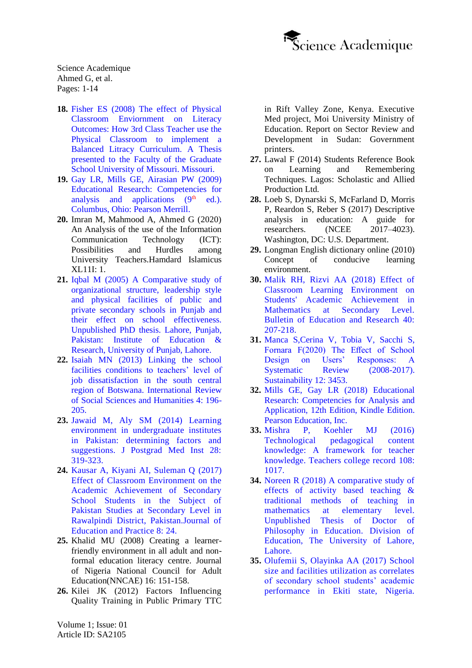

- **18.** [Fisher ES \(2008\) The effect of Physical](https://mospace.umsystem.edu/xmlui/bitstream/handle/10355/5699/research.pdf?...3)  [Classroom Enviornment on Literacy](https://mospace.umsystem.edu/xmlui/bitstream/handle/10355/5699/research.pdf?...3)  [Outcomes: How 3rd Class Teacher use the](https://mospace.umsystem.edu/xmlui/bitstream/handle/10355/5699/research.pdf?...3)  [Physical Classroom to implement a](https://mospace.umsystem.edu/xmlui/bitstream/handle/10355/5699/research.pdf?...3)  [Balanced Litracy Curriculum. A Thesis](https://mospace.umsystem.edu/xmlui/bitstream/handle/10355/5699/research.pdf?...3)  [presented to the Faculty of the Graduate](https://mospace.umsystem.edu/xmlui/bitstream/handle/10355/5699/research.pdf?...3)  [School University of Missouri. Missouri.](https://mospace.umsystem.edu/xmlui/bitstream/handle/10355/5699/research.pdf?...3)
- **19.** [Gay LR, Mills GE, Airasian PW \(2009\)](http://slidehtml5.com/zykj/slvt/basic)  [Educational Research: Competencies for](http://slidehtml5.com/zykj/slvt/basic)  analysis and applications  $(9<sup>th</sup> ed.)$ . [Columbus, Ohio: Pearson Merrill.](http://slidehtml5.com/zykj/slvt/basic)
- **20.** Imran M, Mahmood A, Ahmed G (2020) An Analysis of the use of the Information Communication Technology (ICT): Possibilities and Hurdles among University Teachers.Hamdard Islamicus XL11I: 1.
- **21.** [Iqbal M \(2005\) A Comparative study of](https://www.semanticscholar.org/paper/A-COMPARATIVE-STUDY-OF-ORGANIZATIONAL-STRUCTURE%2C-OF-Iqbal/606a99840332e609e1f855b1d8c5292e1e11e53e)  [organizational structure, leadership style](https://www.semanticscholar.org/paper/A-COMPARATIVE-STUDY-OF-ORGANIZATIONAL-STRUCTURE%2C-OF-Iqbal/606a99840332e609e1f855b1d8c5292e1e11e53e)  [and physical facilities of public and](https://www.semanticscholar.org/paper/A-COMPARATIVE-STUDY-OF-ORGANIZATIONAL-STRUCTURE%2C-OF-Iqbal/606a99840332e609e1f855b1d8c5292e1e11e53e)  [private secondary schools in Punjab and](https://www.semanticscholar.org/paper/A-COMPARATIVE-STUDY-OF-ORGANIZATIONAL-STRUCTURE%2C-OF-Iqbal/606a99840332e609e1f855b1d8c5292e1e11e53e)  [their effect on school effectiveness.](https://www.semanticscholar.org/paper/A-COMPARATIVE-STUDY-OF-ORGANIZATIONAL-STRUCTURE%2C-OF-Iqbal/606a99840332e609e1f855b1d8c5292e1e11e53e)  [Unpublished PhD thesis. Lahore, Punjab,](https://www.semanticscholar.org/paper/A-COMPARATIVE-STUDY-OF-ORGANIZATIONAL-STRUCTURE%2C-OF-Iqbal/606a99840332e609e1f855b1d8c5292e1e11e53e)  [Pakistan: Institute of Education &](https://www.semanticscholar.org/paper/A-COMPARATIVE-STUDY-OF-ORGANIZATIONAL-STRUCTURE%2C-OF-Iqbal/606a99840332e609e1f855b1d8c5292e1e11e53e)  [Research, University of Punjab, Lahore.](https://www.semanticscholar.org/paper/A-COMPARATIVE-STUDY-OF-ORGANIZATIONAL-STRUCTURE%2C-OF-Iqbal/606a99840332e609e1f855b1d8c5292e1e11e53e)
- **22.** [Isaiah MN \(2013\) Linking the school](https://orc.library.atu.edu/cgi/viewcontent.cgi?article=1000&context=etds_2018)  [facilities conditions to teachers' level of](https://orc.library.atu.edu/cgi/viewcontent.cgi?article=1000&context=etds_2018)  [job dissatisfaction in the south central](https://orc.library.atu.edu/cgi/viewcontent.cgi?article=1000&context=etds_2018)  [region of Botswana. International Review](https://orc.library.atu.edu/cgi/viewcontent.cgi?article=1000&context=etds_2018)  [of Social Sciences and Humanities 4: 196-](https://orc.library.atu.edu/cgi/viewcontent.cgi?article=1000&context=etds_2018) [205.](https://orc.library.atu.edu/cgi/viewcontent.cgi?article=1000&context=etds_2018)
- **23.** [Jawaid M, Aly SM \(2014\) Learning](https://jpmi.org.pk/index.php/jpmi/article/view/1653)  [environment in undergraduate institutes](https://jpmi.org.pk/index.php/jpmi/article/view/1653)  [in Pakistan: determining factors and](https://jpmi.org.pk/index.php/jpmi/article/view/1653)  [suggestions. J Postgrad Med Inst 28:](https://jpmi.org.pk/index.php/jpmi/article/view/1653)  [319-323.](https://jpmi.org.pk/index.php/jpmi/article/view/1653)
- **24.** [Kausar A, Kiyani AI, Suleman Q \(2017\)](https://core.ac.uk/reader/234640860)  [Effect of Classroom Environment on the](https://core.ac.uk/reader/234640860)  [Academic Achievement of Secondary](https://core.ac.uk/reader/234640860)  [School Students in the Subject of](https://core.ac.uk/reader/234640860)  [Pakistan Studies at Secondary Level in](https://core.ac.uk/reader/234640860)  [Rawalpindi District, Pakistan.Journal of](https://core.ac.uk/reader/234640860)  [Education and Practice 8: 24.](https://core.ac.uk/reader/234640860)
- **25.** Khalid MU (2008) Creating a learnerfriendly environment in all adult and nonformal education literacy centre. Journal of Nigeria National Council for Adult Education(NNCAE) 16: 151-158.
- **26.** Kilei JK (2012) Factors Influencing Quality Training in Public Primary TTC

in Rift Valley Zone, Kenya. Executive Med project, Moi University Ministry of Education. Report on Sector Review and Development in Sudan: Government printers.

- **27.** Lawal F (2014) Students Reference Book on Learning and Remembering Techniques. Lagos: Scholastic and Allied Production Ltd.
- **28.** Loeb S, Dynarski S, McFarland D, Morris P, Reardon S, Reber S (2017) Descriptive analysis in education: A guide for researchers. (NCEE 2017–4023). Washington, DC: U.S. Department.
- **29.** Longman English dictionary online (2010) Concept of conducive learning environment.
- **30.** [Malik RH, Rizvi AA \(2018\) Effect of](https://files.eric.ed.gov/fulltext/EJ1209817.pdf)  [Classroom Learning Environment on](https://files.eric.ed.gov/fulltext/EJ1209817.pdf)  [Students' Academic Achievement in](https://files.eric.ed.gov/fulltext/EJ1209817.pdf)  [Mathematics at Secondary Level.](https://files.eric.ed.gov/fulltext/EJ1209817.pdf)  [Bulletin of Education and Research 40:](https://files.eric.ed.gov/fulltext/EJ1209817.pdf)  [207-218.](https://files.eric.ed.gov/fulltext/EJ1209817.pdf)
- **31.** [Manca S,Cerina V, Tobia V, Sacchi S,](https://www.mdpi.com/2071-1050/12/8/3453)  [Fornara F\(2020\) The Effect of School](https://www.mdpi.com/2071-1050/12/8/3453)  [Design on Users' Responses: A](https://www.mdpi.com/2071-1050/12/8/3453)  Systematic Review (2008-2017). [Sustainability 12: 3453.](https://www.mdpi.com/2071-1050/12/8/3453)
- **32.** [Mills GE, Gay LR \(2018\) Educational](https://www.pearson.com/store/p/educational-research-competencies-for-analysis-and-applications/P100002976276/9780134784229)  [Research: Competencies for Analysis and](https://www.pearson.com/store/p/educational-research-competencies-for-analysis-and-applications/P100002976276/9780134784229)  [Application, 12th Edition, Kindle Edition.](https://www.pearson.com/store/p/educational-research-competencies-for-analysis-and-applications/P100002976276/9780134784229) [Pearson Education, Inc.](https://www.pearson.com/store/p/educational-research-competencies-for-analysis-and-applications/P100002976276/9780134784229)
- **33.** [Mishra P, Koehler MJ \(2016\)](https://www.punyamishra.com/wp-content/uploads/2008/01/mishra-koehler-tcr2006.pdf)  [Technological pedagogical content](https://www.punyamishra.com/wp-content/uploads/2008/01/mishra-koehler-tcr2006.pdf)  [knowledge: A framework for teacher](https://www.punyamishra.com/wp-content/uploads/2008/01/mishra-koehler-tcr2006.pdf)  [knowledge. Teachers college record 108:](https://www.punyamishra.com/wp-content/uploads/2008/01/mishra-koehler-tcr2006.pdf)  [1017.](https://www.punyamishra.com/wp-content/uploads/2008/01/mishra-koehler-tcr2006.pdf)
- **34.** [Noreen R \(2018\) A comparative study of](https://www.academia.edu/38979180/A_Comparative_Study_on_the_Effect_of_Activity_Based_and_Traditional_Methods_of_Teaching_Science_at_Elementary_Level)  [effects of activity based teaching &](https://www.academia.edu/38979180/A_Comparative_Study_on_the_Effect_of_Activity_Based_and_Traditional_Methods_of_Teaching_Science_at_Elementary_Level)  [traditional methods of teaching in](https://www.academia.edu/38979180/A_Comparative_Study_on_the_Effect_of_Activity_Based_and_Traditional_Methods_of_Teaching_Science_at_Elementary_Level)  [mathematics at elementary level.](https://www.academia.edu/38979180/A_Comparative_Study_on_the_Effect_of_Activity_Based_and_Traditional_Methods_of_Teaching_Science_at_Elementary_Level)  [Unpublished Thesis of Doctor of](https://www.academia.edu/38979180/A_Comparative_Study_on_the_Effect_of_Activity_Based_and_Traditional_Methods_of_Teaching_Science_at_Elementary_Level)  [Philosophy in Education. Division of](https://www.academia.edu/38979180/A_Comparative_Study_on_the_Effect_of_Activity_Based_and_Traditional_Methods_of_Teaching_Science_at_Elementary_Level)  [Education, The University of Lahore,](https://www.academia.edu/38979180/A_Comparative_Study_on_the_Effect_of_Activity_Based_and_Traditional_Methods_of_Teaching_Science_at_Elementary_Level)  [Lahore.](https://www.academia.edu/38979180/A_Comparative_Study_on_the_Effect_of_Activity_Based_and_Traditional_Methods_of_Teaching_Science_at_Elementary_Level)
- **35.** [Olufemii S, Olayinka AA \(2017\) School](https://oapub.org/edu/index.php/ejae/article/view/639)  [size and facilities utilization as correlates](https://oapub.org/edu/index.php/ejae/article/view/639)  [of secondary school students' academic](https://oapub.org/edu/index.php/ejae/article/view/639)  [performance in Ekiti state, Nigeria.](https://oapub.org/edu/index.php/ejae/article/view/639)